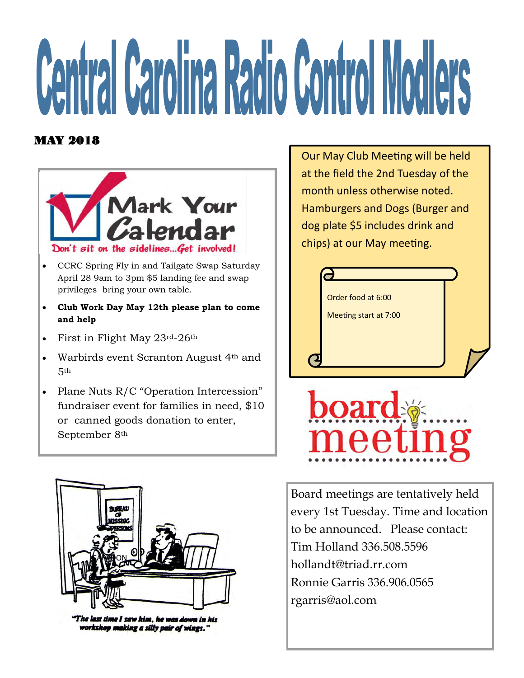# **Central Carolina Radio Control Modlers**

#### MAY 2018



- CCRC Spring Fly in and Tailgate Swap Saturday April 28 9am to 3pm \$5 landing fee and swap privileges bring your own table.
- **Club Work Day May 12th please plan to come and help**
- First in Flight May 23rd-26th
- Warbirds event Scranton August 4th and 5th
- Plane Nuts R/C "Operation Intercession" fundraiser event for families in need, \$10 or canned goods donation to enter, September 8th



The last time I saw him, he was down in his workshop making a silly pair of wings."

Our May Club Meeting will be held at the field the 2nd Tuesday of the month unless otherwise noted. Hamburgers and Dogs (Burger and dog plate \$5 includes drink and chips) at our May meeting.





Board meetings are tentatively held every 1st Tuesday. Time and location to be announced. Please contact: Tim Holland 336.508.5596 hollandt@triad.rr.com Ronnie Garris 336.906.0565 rgarris@aol.com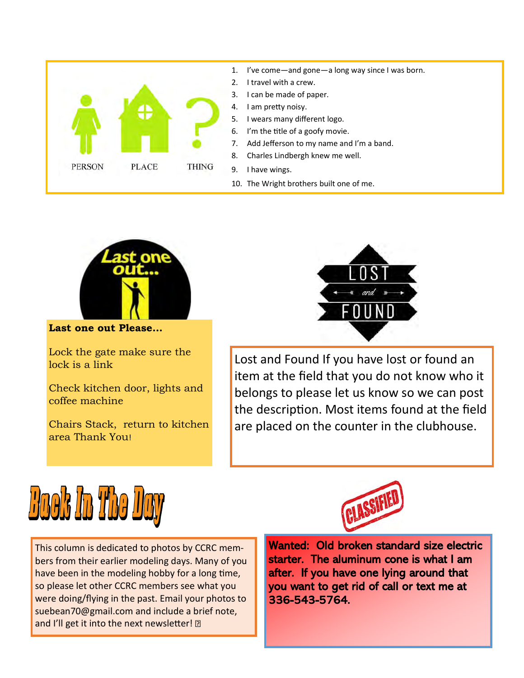



**Last one out Please...** 

Lock the gate make sure the lock is a link

Check kitchen door, lights and coffee machine

Chairs Stack, return to kitchen area Thank You!



Lost and Found If you have lost or found an item at the field that you do not know who it belongs to please let us know so we can post the description. Most items found at the field are placed on the counter in the clubhouse.



This column is dedicated to photos by CCRC members from their earlier modeling days. Many of you have been in the modeling hobby for a long time, so please let other CCRC members see what you were doing/flying in the past. Email your photos to suebean70@gmail.com and include a brief note, and I'll get it into the next newsletter! 2

Wanted: Old broken standard size electric starter. The aluminum cone is what I am after. If you have one lying around that you want to get rid of call or text me at 336-543-5764.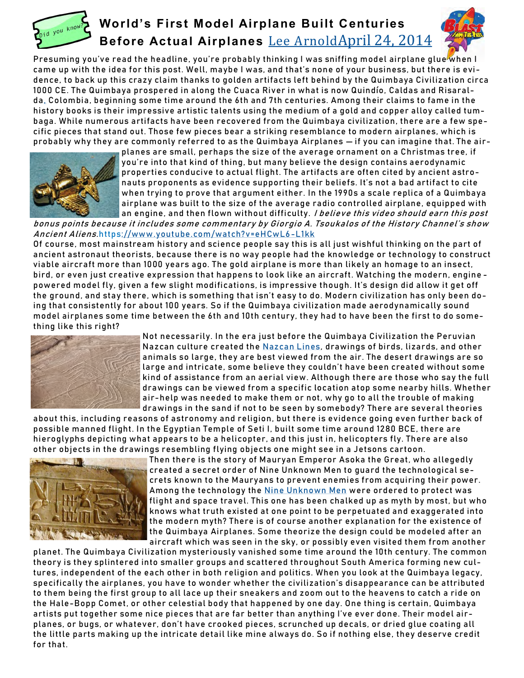

### **World's First Model Airplane Built Centuries Before Actual Airplanes** [Lee Arnold](http://mysteriousuniverse.org/author/leearnold/)[April 24, 2014](http://mysteriousuniverse.org/2014/04/24)



Presuming you've read the headline, you're probably thinking I was sniffing model airplane glue when I came up with the idea for this post. Well, maybe I was, and that's none of your business, but there is evidence, to back up this crazy claim thanks to golden artifacts left behind by the Quimbaya Civilization circa 1000 CE. The Quimbaya prospered in along the Cuaca River in what is now Quindío, Caldas and Risaral-da[,](https://en.wikipedia.org/wiki/Risaralda,_Caldas) Colombia, beginning some time around the 6th and 7th centuries. Among their claims to fame in the history books is their impressive artistic talents using the medium of a gold and copper alloy called tumbaga. While numerous artifacts have been recovered from the Quimbaya civilization, there are a few specific pieces that stand out. Those few pieces bear a striking resemblance to modern airplanes, which is probably why they are commonly referred to as the Quimbaya Airplanes — if you can imagine that. The air-



planes are small, perhaps the size of the average ornament on a Christmas tree, if you're into that kind of thing, but many believe the design contains aerodynamic properties conducive to actual flight. The artifacts are often cited by ancient astronauts proponents as evidence supporting their beliefs. It's not a bad artifact to cite when trying to prove that argument either. In the 1990s a scale replica of a Quimbaya airplane was built to the size of the average radio controlled airplane, equipped with an engine, and then flown without difficulty. I believe this video should earn this post

bonus points because it includes some commentary by Giorgio A. Tsoukalos of the History Channel's show Ancient Aliens.https://www.youtube.com/watch?v=eHCwL6-L1kk

Of course, most mainstream history and science people say this is all just wishful thinking on the part of ancient astronaut theorists, because there is no way people had the knowledge or technology to construct viable aircraft more than 1000 years ago. The gold airplane is more than likely an homage to an insect, bird, or even just creative expression that happens to look like an aircraft. Watching the modern, enginepowered model fly, given a few slight modifications, is impressive though. It's design did allow it get off the ground, and stay there, which is something that isn't easy to do. Modern civilization has only been doing that consistently for about 100 years. So if the Quimbaya civilization made aerodynamically sound model ai rpla nes some time betw een the 6 th and 10 th century, they ha d to ha ve been the fi rst to do something like this right?



Not necessarily. In the era just before the Quimbaya Civilization the Peruvian Nazcan culture created the Nazcan Lines, drawings of birds, lizards, and other animals so large, they are best viewed from the air. The desert drawings are so large and intricate, some believe they couldn't have been created without some kind of assistance from an aerial view. Although there are those who say the full drawings can be viewed from a specific location atop some nearby hills. Whether air-help was needed to make them or not, why go to all the trouble of making drawings in the sand if not to be seen by somebody? There are several theories

about this, including reasons of astronomy and religion, but there is evidence going even further back of possible manned flight. In the Egyptian Temple of Seti I, built some time around 1280 BCE, there are hieroglyphs depicting what appears to be a helicopter, and this just in, helicopters fly. There are also other objects in the drawings resembling flying objects one might see in a Jetsons cartoon.



Then there is the story of Mauryan Emperor Asoka the Great, who allegedly created a secret order of Nine Unknown Men to quard the technological secrets known to the Mauryans to prevent enemies from acquiring their power. Among the technology the Nine Unknown Men were ordered to protect was flight and space travel. This one has been chalked up as myth by most, but who knows what truth existed at one point to be perpetuated and exaggerated into the modern myth? There is of course another explanation for the existence of the Quimbaya Airplanes. Some theorize the design could be modeled after an aircraft which was seen in the sky, or possibly even visited them from another

planet. The Quimbaya Civilization mysteriously vanished some time around the 10th century. The common theory is they splintered into smaller groups and scattered throughout South America forming new cultures, independent of the each other in both religion and politics. When you look at the Quimbaya legacy, specifically the airplanes, you have to wonder whether the civilization's disappearance can be attributed to them being the first group to all lace up their sneakers and zoom out to the heavens to catch a ride on the Hale-Bopp Comet, or other celestial body that happened by one day. One thing is certain, Quimbaya artists put together some nice pieces that are far better than anything I've ever done. Their model airplanes, or bugs, or whatever, don't have crooked pieces, scrunched up decals, or dried glue coating all the little parts making up the intricate detail like mine always do. So if nothing else, they deserve credit for that.